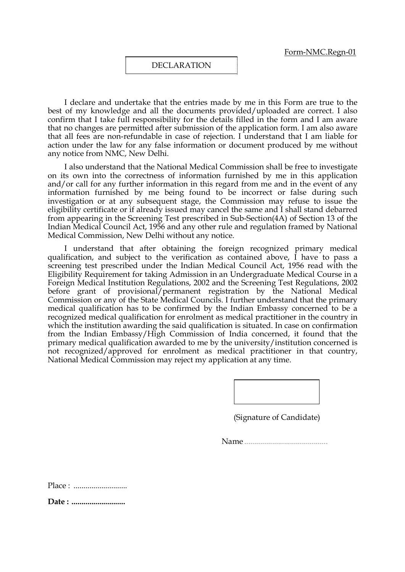## DECLARATION

I declare and undertake that the entries made by me in this Form are true to the best of my knowledge and all the documents provided/uploaded are correct. I also confirm that I take full responsibility for the details filled in the form and I am aware that no changes are permitted after submission of the application form. I am also aware that all fees are non-refundable in case of rejection. I understand that I am liable for action under the law for any false information or document produced by me without any notice from NMC, New Delhi.

I also understand that the National Medical Commission shall be free to investigate on its own into the correctness of information furnished by me in this application and/or call for any further information in this regard from me and in the event of any information furnished by me being found to be incorrect or false during such investigation or at any subsequent stage, the Commission may refuse to issue the eligibility certificate or if already issued may cancel the same and I shall stand debarred from appearing in the Screening Test prescribed in Sub-Section(4A) of Section 13 of the Indian Medical Council Act, 1956 and any other rule and regulation framed by National Medical Commission, New Delhi without any notice.

I understand that after obtaining the foreign recognized primary medical qualification, and subject to the verification as contained above, I have to pass a screening test prescribed under the Indian Medical Council Act, 1956 read with the Eligibility Requirement for taking Admission in an Undergraduate Medical Course in a Foreign Medical Institution Regulations, 2002 and the Screening Test Regulations, 2002 before grant of provisional/permanent registration by the National Medical Commission or any of the State Medical Councils. I further understand that the primary medical qualification has to be confirmed by the Indian Embassy concerned to be a recognized medical qualification for enrolment as medical practitioner in the country in which the institution awarding the said qualification is situated. In case on confirmation from the Indian Embassy/High Commission of India concerned, it found that the primary medical qualification awarded to me by the university/institution concerned is not recognized/approved for enrolment as medical practitioner in that country, National Medical Commission may reject my application at any time.

(Signature of Candidate)

Name ..........................................

Place : ...........................

Date : ..............................